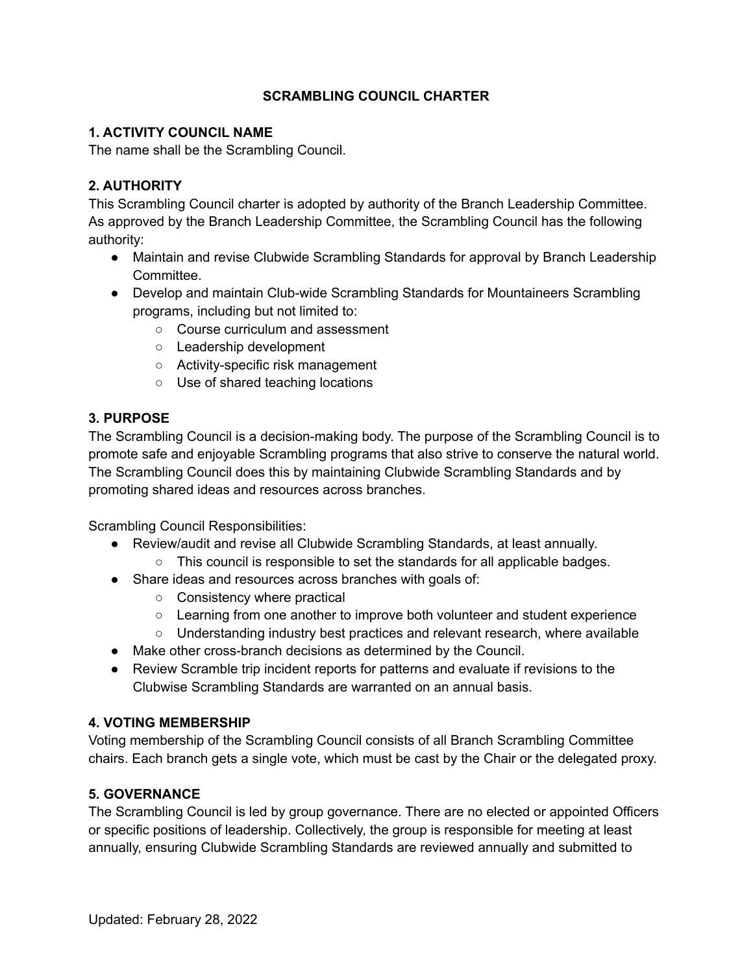### **SCRAMBLING COUNCIL CHARTER**

### **1. ACTIVITY COUNCIL NAME**

The name shall be the Scrambling Council.

# **2. AUTHORITY**

This Scrambling Council charter is adopted by authority of the Branch Leadership Committee. As approved by the Branch Leadership Committee, the Scrambling Council has the following authority:

- Maintain and revise Clubwide Scrambling Standards for approval by Branch Leadership Committee.
- Develop and maintain Club-wide Scrambling Standards for Mountaineers Scrambling programs, including but not limited to:
	- Course curriculum and assessment
	- Leadership development
	- Activity-specific risk management
	- Use of shared teaching locations

### **3. PURPOSE**

The Scrambling Council is a decision-making body. The purpose of the Scrambling Council is to promote safe and enjoyable Scrambling programs that also strive to conserve the natural world. The Scrambling Council does this by maintaining Clubwide Scrambling Standards and by promoting shared ideas and resources across branches.

Scrambling Council Responsibilities:

- Review/audit and revise all Clubwide Scrambling Standards, at least annually.
	- This council is responsible to set the standards for all applicable badges.
- Share ideas and resources across branches with goals of:
	- Consistency where practical
	- Learning from one another to improve both volunteer and student experience
	- Understanding industry best practices and relevant research, where available
- Make other cross-branch decisions as determined by the Council.
- Review Scramble trip incident reports for patterns and evaluate if revisions to the Clubwise Scrambling Standards are warranted on an annual basis.

#### **4. VOTING MEMBERSHIP**

Voting membership of the Scrambling Council consists of all Branch Scrambling Committee chairs. Each branch gets a single vote, which must be cast by the Chair or the delegated proxy.

#### **5. GOVERNANCE**

The Scrambling Council is led by group governance. There are no elected or appointed Officers or specific positions of leadership. Collectively, the group is responsible for meeting at least annually, ensuring Clubwide Scrambling Standards are reviewed annually and submitted to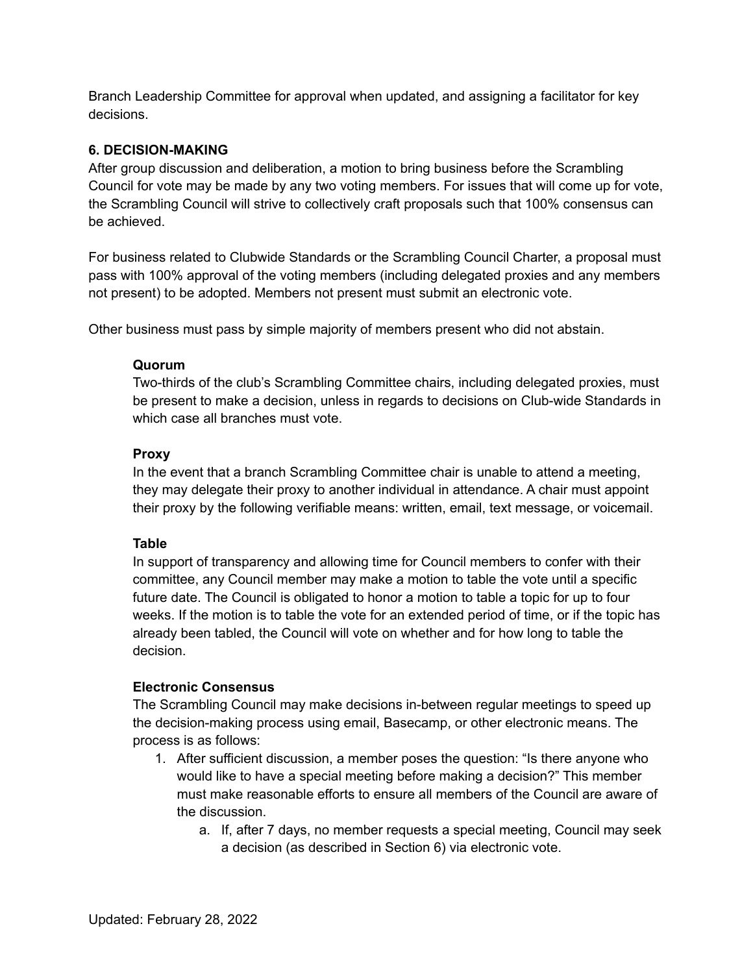Branch Leadership Committee for approval when updated, and assigning a facilitator for key decisions.

### **6. DECISION-MAKING**

After group discussion and deliberation, a motion to bring business before the Scrambling Council for vote may be made by any two voting members. For issues that will come up for vote, the Scrambling Council will strive to collectively craft proposals such that 100% consensus can be achieved.

For business related to Clubwide Standards or the Scrambling Council Charter, a proposal must pass with 100% approval of the voting members (including delegated proxies and any members not present) to be adopted. Members not present must submit an electronic vote.

Other business must pass by simple majority of members present who did not abstain.

#### **Quorum**

Two-thirds of the club's Scrambling Committee chairs, including delegated proxies, must be present to make a decision, unless in regards to decisions on Club-wide Standards in which case all branches must vote.

#### **Proxy**

In the event that a branch Scrambling Committee chair is unable to attend a meeting, they may delegate their proxy to another individual in attendance. A chair must appoint their proxy by the following verifiable means: written, email, text message, or voicemail.

#### **Table**

In support of transparency and allowing time for Council members to confer with their committee, any Council member may make a motion to table the vote until a specific future date. The Council is obligated to honor a motion to table a topic for up to four weeks. If the motion is to table the vote for an extended period of time, or if the topic has already been tabled, the Council will vote on whether and for how long to table the decision.

#### **Electronic Consensus**

The Scrambling Council may make decisions in-between regular meetings to speed up the decision-making process using email, Basecamp, or other electronic means. The process is as follows:

- 1. After sufficient discussion, a member poses the question: "Is there anyone who would like to have a special meeting before making a decision?" This member must make reasonable efforts to ensure all members of the Council are aware of the discussion.
	- a. If, after 7 days, no member requests a special meeting, Council may seek a decision (as described in Section 6) via electronic vote.